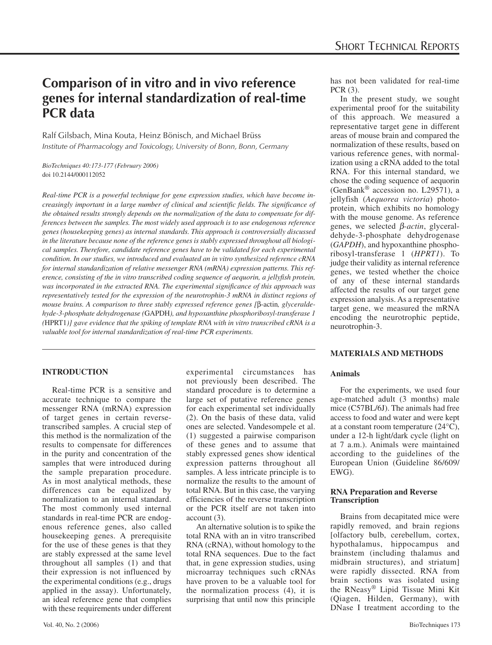# **Comparison of in vitro and in vivo reference genes for internal standardization of real-time PCR data**

Ralf Gilsbach, Mina Kouta, Heinz Bönisch, and Michael Brüss *Institute of Pharmacology and Toxicology, University of Bonn, Bonn, Germany*

*BioTechniques 40:173-177 (February 2006)* doi 10.2144/000112052

*Real-time PCR is a powerful technique for gene expression studies, which have become increasingly important in a large number of clinical and scientific fields. The significance of the obtained results strongly depends on the normalization of the data to compensate for differences between the samples. The most widely used approach is to use endogenous reference genes (housekeeping genes) as internal standards. This approach is controversially discussed in the literature because none of the reference genes is stably expressed throughout all biological samples. Therefore, candidate reference genes have to be validated for each experimental condition. In our studies, we introduced and evaluated an in vitro synthesized reference cRNA for internal standardization of relative messenger RNA (mRNA) expression patterns. This reference, consisting of the in vitro transcribed coding sequence of aequorin, a jellyfish protein, was incorporated in the extracted RNA. The experimental significance of this approach was representatively tested for the expression of the neurotrophin-3 mRNA in distinct regions of mouse brains. A comparison to three stably expressed reference genes [*β-actin*, glyceraldehyde-3-phosphate dehydrogenase (*GAPDH*), and hypoxanthine phosphoribosyl-transferase 1 (*HPRT1*)] gave evidence that the spiking of template RNA with in vitro transcribed cRNA is a valuable tool for internal standardization of real-time PCR experiments.*

# **INTRODUCTION**

Real-time PCR is a sensitive and accurate technique to compare the messenger RNA (mRNA) expression of target genes in certain reversetranscribed samples. A crucial step of this method is the normalization of the results to compensate for differences in the purity and concentration of the samples that were introduced during the sample preparation procedure. As in most analytical methods, these differences can be equalized by normalization to an internal standard. The most commonly used internal standards in real-time PCR are endogenous reference genes, also called housekeeping genes. A prerequisite for the use of these genes is that they are stably expressed at the same level throughout all samples (1) and that their expression is not influenced by the experimental conditions (e.g., drugs applied in the assay). Unfortunately, an ideal reference gene that complies with these requirements under different

experimental circumstances has not previously been described. The standard procedure is to determine a large set of putative reference genes for each experimental set individually (2). On the basis of these data, valid ones are selected. Vandesompele et al. (1) suggested a pairwise comparison of these genes and to assume that stably expressed genes show identical expression patterns throughout all samples. A less intricate principle is to normalize the results to the amount of total RNA. But in this case, the varying efficiencies of the reverse transcription or the PCR itself are not taken into account (3).

An alternative solution is to spike the total RNA with an in vitro transcribed RNA (cRNA), without homology to the total RNA sequences. Due to the fact that, in gene expression studies, using microarray techniques such cRNAs have proven to be a valuable tool for the normalization process (4), it is surprising that until now this principle

has not been validated for real-time PCR (3).

In the present study, we sought experimental proof for the suitability of this approach. We measured a representative target gene in different areas of mouse brain and compared the normalization of these results, based on various reference genes, with normalization using a cRNA added to the total RNA. For this internal standard, we chose the coding sequence of aequorin (GenBank® accession no. L29571), a jellyfish (*Aequorea victoria*) photoprotein, which exhibits no homology with the mouse genome. As reference genes, we selected β*-actin*, glyceraldehyde-3-phosphate dehydrogenase (*GAPDH*), and hypoxanthine phosphoribosyl-transferase 1 (*HPRT1*). To judge their validity as internal reference genes, we tested whether the choice of any of these internal standards affected the results of our target gene expression analysis. As a representative target gene, we measured the mRNA encoding the neurotrophic peptide, neurotrophin-3.

## **MATERIALS AND METHODS**

## **Animals**

For the experiments, we used four age-matched adult (3 months) male mice (C57BL/6J). The animals had free access to food and water and were kept at a constant room temperature (24°C), under a 12-h light/dark cycle (light on at 7 a.m.). Animals were maintained according to the guidelines of the European Union (Guideline 86/609/ EWG).

#### **RNA Preparation and Reverse Transcription**

Brains from decapitated mice were rapidly removed, and brain regions [olfactory bulb, cerebellum, cortex, hypothalamus, hippocampus and brainstem (including thalamus and midbrain structures), and striatum] were rapidly dissected. RNA from brain sections was isolated using the RNeasy® Lipid Tissue Mini Kit (Qiagen, Hilden, Germany), with DNase I treatment according to the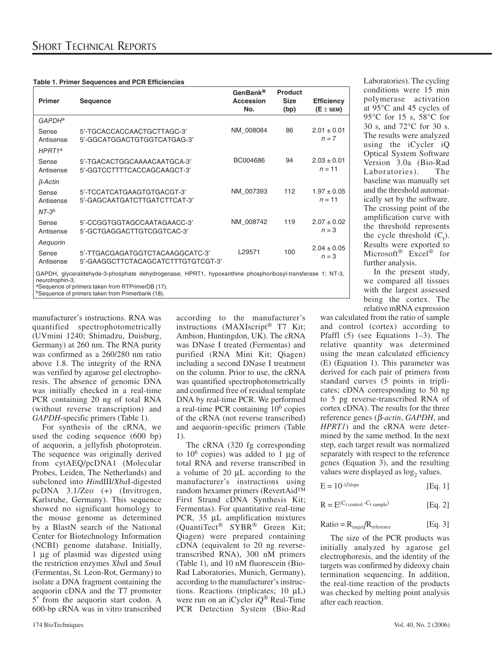| Primer                                                                                                                                                                          | <b>Sequence</b>                                                       | GenBank®<br><b>Accession</b><br>No. | <b>Product</b><br><b>Size</b><br>(bp) | <b>Efficiency</b><br>$(E \pm$ SEM) |
|---------------------------------------------------------------------------------------------------------------------------------------------------------------------------------|-----------------------------------------------------------------------|-------------------------------------|---------------------------------------|------------------------------------|
| GAPDH <sup>a</sup>                                                                                                                                                              |                                                                       |                                     |                                       |                                    |
| Sense<br>Antisense                                                                                                                                                              | 5'-TGCACCACCAACTGCTTAGC-3'<br>5'-GGCATGGACTGTGGTCATGAG-3'             | NM 008084                           | 86                                    | $2.01 \pm 0.01$<br>$n = 7$         |
| $H$ PRT1 <sup>a</sup>                                                                                                                                                           |                                                                       |                                     |                                       |                                    |
| Sense<br>Antisense                                                                                                                                                              | 5'-TGACACTGGCAAAACAATGCA-3'<br>5'-GGTCCTTTTCACCAGCAAGCT-3'            | BC004686                            | 94                                    | $2.03 \pm 0.01$<br>$n = 11$        |
| $\beta$ -Actin                                                                                                                                                                  |                                                                       |                                     |                                       |                                    |
| Sense<br>Antisense                                                                                                                                                              | 5'-TCCATCATGAAGTGTGACGT-3'<br>5'-GAGCAATGATCTTGATCTTCAT-3'            | NM 007393                           | 112                                   | $1.97 \pm 0.05$<br>$n = 11$        |
| $NT-3b$                                                                                                                                                                         |                                                                       |                                     |                                       |                                    |
| Sense<br>Antisense                                                                                                                                                              | 5'-CCGGTGGTAGCCAATAGAACC-3'<br>5'-GCTGAGGACTTGTCGGTCAC-3'             | NM 008742                           | 119                                   | $2.07 \pm 0.02$<br>$n = 3$         |
| Aequorin                                                                                                                                                                        |                                                                       |                                     |                                       | $2.04 \pm 0.05$                    |
| Sense<br>Antisense                                                                                                                                                              | 5'-TTGACGAGATGGTCTACAAGGCATC-3'<br>5'-GAAGGCTTCTACAGCATCTTTGTGTCGT-3' | L29571                              | 100                                   | $n = 3$                            |
| GAPDH, glyceraldehyde-3-phosphate dehydrogenase; HPRT1, hypoxanthine phosphoribosyl-transferase 1; NT-3,<br>neurotrophin-3.<br>aSequence of primers taken from RTPrimerDB (17). |                                                                       |                                     |                                       |                                    |

<sup>b</sup>Sequence of primers taken from Primerbank (18).

manufacturer's instructions. RNA was quantified spectrophotometrically (UVmini 1240; Shimadzu, Duisburg, Germany) at 260 nm. The RNA purity was confirmed as a 260/280 nm ratio above 1.8. The integrity of the RNA was verified by agarose gel electrophoresis. The absence of genomic DNA was initially checked in a real-time PCR containing 20 ng of total RNA (without reverse transcription) and *GAPDH*-specific primers (Table 1).

For synthesis of the cRNA, we used the coding sequence (600 bp) of aequorin, a jellyfish photoprotein. The sequence was originally derived from cytAEQ/pcDNA1 (Molecular Probes, Leiden, The Netherlands) and subcloned into *Hin*dIII/*Xba*I-digested pcDNA 3.1/Zeo (+) (Invitrogen, Karlsruhe, Germany). This sequence showed no significant homology to the mouse genome as determined by a BlastN search of the National Center for Biotechnology Information (NCBI) genome database. Initially, 1 μg of plasmid was digested using the restriction enzymes *Xba*I and *Sma*I (Fermentas, St. Leon-Rot, Germany) to isolate a DNA fragment containing the aequorin cDNA and the T7 promoter 5′ from the aequorin start codon. A 600-bp cRNA was in vitro transcribed

according to the manufacturer's instructions (MAXIscript® T7 Kit; Ambion, Huntingdon, UK). The cRNA was DNase I treated (Fermentas) and purified (RNA Mini Kit; Qiagen) including a second DNase I treatment on the column. Prior to use, the cRNA was quantified spectrophotometrically and confirmed free of residual template DNA by real-time PCR. We performed a real-time PCR containing 106 copies of the cRNA (not reverse transcribed) and aequorin-specific primers (Table 1).

The cRNA (320 fg corresponding to  $10^6$  copies) was added to 1 μg of total RNA and reverse transcribed in a volume of 20 μL according to the manufacturer's instructions using random hexamer primers (RevertAid™ First Strand cDNA Synthesis Kit; Fermentas). For quantitative real-time PCR, 35 μL amplification mixtures (QuantiTect® SYBR® Green Kit; Qiagen) were prepared containing cDNA (equivalent to 20 ng reversetranscribed RNA), 300 nM primers (Table 1), and 10 nM fluorescein (Bio-Rad Laboratories, Munich, Germany), according to the manufacturer's instructions. Reactions (triplicates; 10 μL) were run on an iCycler iQ<sup>®</sup> Real-Time PCR Detection System (Bio-Rad

Laboratories). The cycling conditions were 15 min polymerase activation at 95°C and 45 cycles of 95°C for 15 s, 58°C for 30 s, and 72°C for 30 s. The results were analyzed using the iCycler iQ Optical System Software Version 3.0a (Bio-Rad Laboratories). The baseline was manually set and the threshold automatically set by the software. The crossing point of the amplification curve with the threshold represents the cycle threshold  $(C_t)$ . Results were exported to Microsoft® Excel® for further analysis.

In the present study, we compared all tissues with the largest assessed being the cortex. The relative mRNA expression

was calculated from the ratio of sample and control (cortex) according to Pfaffl (5) (see Equations 1–3). The relative quantity was determined using the mean calculated efficiency (E) (Equation 1). This parameter was derived for each pair of primers from standard curves (5 points in triplicates; cDNA corresponding to 50 ng to 5 pg reverse-transcribed RNA of cortex cDNA). The results for the three reference genes (β*-actin*, *GAPDH*, and *HPRT1*) and the cRNA were determined by the same method. In the next step, each target result was normalized separately with respect to the reference genes (Equation 3), and the resulting values were displayed as  $log<sub>2</sub>$  values.

$$
E = 10^{-1/\text{slope}} \qquad [Eq. 1]
$$

$$
R = E^{(C_t \text{ control } -C_t \text{sample})}
$$
 [Eq. 2]

$$
Ratio = R_{target}/R_{reference}
$$
 [Eq. 3]

The size of the PCR products was initially analyzed by agarose gel electrophoresis, and the identity of the targets was confirmed by dideoxy chain termination sequencing. In addition, the real-time reaction of the products was checked by melting point analysis after each reaction.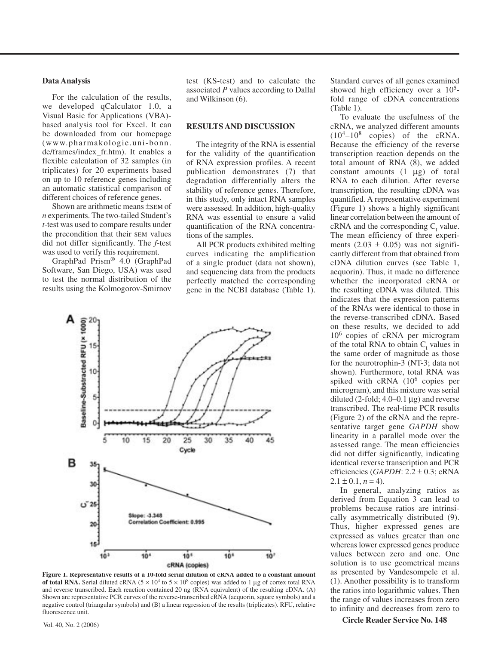#### **Data Analysis**

For the calculation of the results, we developed qCalculator 1.0, a Visual Basic for Applications (VBA) based analysis tool for Excel. It can be downloaded from our homepage (www.pharmakologie.uni-bonn. de/frames/index\_fr.htm). It enables a flexible calculation of 32 samples (in triplicates) for 20 experiments based on up to 10 reference genes including an automatic statistical comparison of different choices of reference genes.

Shown are arithmetic means ±sem of *n* experiments. The two-tailed Student's *t*-test was used to compare results under the precondition that their sem values did not differ significantly. The *f*-test was used to verify this requirement.

GraphPad Prism® 4.0 (GraphPad Software, San Diego, USA) was used to test the normal distribution of the results using the Kolmogorov-Smirnov test (KS-test) and to calculate the associated *P* values according to Dallal and Wilkinson (6).

#### **RESULTS AND DISCUSSION**

The integrity of the RNA is essential for the validity of the quantification of RNA expression profiles. A recent publication demonstrates (7) that degradation differentially alters the stability of reference genes. Therefore, in this study, only intact RNA samples were assessed. In addition, high-quality RNA was essential to ensure a valid quantification of the RNA concentrations of the samples.

All PCR products exhibited melting curves indicating the amplification of a single product (data not shown), and sequencing data from the products perfectly matched the corresponding gene in the NCBI database (Table 1).



**Figure 1. Representative results of a 10-fold serial dilution of cRNA added to a constant amount of total RNA.** Serial diluted cRNA ( $5 \times 10^4$  to  $5 \times 10^8$  copies) was added to 1 µg of cortex total RNA and reverse transcribed. Each reaction contained 20 ng (RNA equivalent) of the resulting cDNA. (A) Shown are representative PCR curves of the reverse-transcribed cRNA (aequorin, square symbols) and a negative control (triangular symbols) and (B) a linear regression of the results (triplicates). RFU, relative fluorescence unit.

Standard curves of all genes examined showed high efficiency over a  $10<sup>5</sup>$ fold range of cDNA concentrations (Table 1).

To evaluate the usefulness of the cRNA, we analyzed different amounts  $(10^4 - 10^8$  copies) of the cRNA. Because the efficiency of the reverse transcription reaction depends on the total amount of RNA (8), we added constant amounts  $(1 \mu g)$  of total RNA to each dilution. After reverse transcription, the resulting cDNA was quantified. A representative experiment (Figure 1) shows a highly significant linear correlation between the amount of  $cRNA$  and the corresponding  $C_t$  value. The mean efficiency of three experiments  $(2.03 \pm 0.05)$  was not significantly different from that obtained from cDNA dilution curves (see Table 1, aequorin). Thus, it made no difference whether the incorporated cRNA or the resulting cDNA was diluted. This indicates that the expression patterns of the RNAs were identical to those in the reverse-transcribed cDNA. Based on these results, we decided to add 106 copies of cRNA per microgram of the total RNA to obtain  $C_t$  values in the same order of magnitude as those for the neurotrophin-3 (NT-3; data not shown). Furthermore, total RNA was spiked with cRNA (10<sup>6</sup> copies per microgram), and this mixture was serial diluted  $(2\text{-fold}; 4.0-0.1 \mu g)$  and reverse transcribed. The real-time PCR results (Figure 2) of the cRNA and the representative target gene *GAPDH* show linearity in a parallel mode over the assessed range. The mean efficiencies did not differ significantly, indicating identical reverse transcription and PCR efficiencies (*GAPDH*: 2.2 ± 0.3; cRNA  $2.1 \pm 0.1$ ,  $n = 4$ ).

In general, analyzing ratios as derived from Equation 3 can lead to problems because ratios are intrinsically asymmetrically distributed (9). Thus, higher expressed genes are expressed as values greater than one whereas lower expressed genes produce values between zero and one. One solution is to use geometrical means as presented by Vandesompele et al. (1). Another possibility is to transform the ratios into logarithmic values. Then the range of values increases from zero to infinity and decreases from zero to

**Circle Reader Service No. 148** Vol. 40, No. 2 (2006)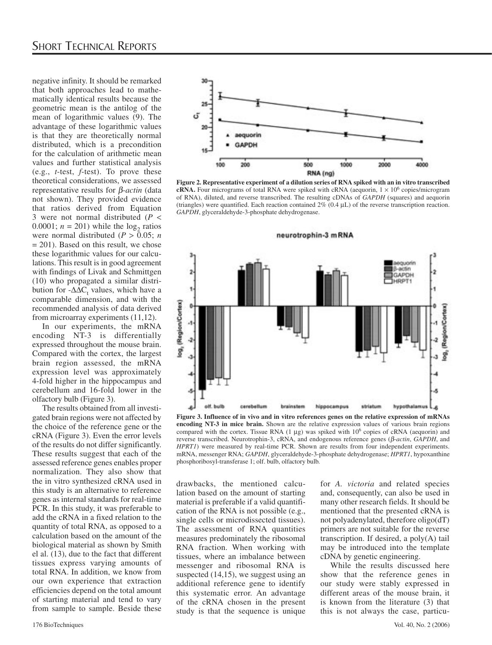negative infinity. It should be remarked that both approaches lead to mathematically identical results because the geometric mean is the antilog of the mean of logarithmic values (9). The advantage of these logarithmic values is that they are theoretically normal distributed, which is a precondition for the calculation of arithmetic mean values and further statistical analysis (e.g., *t*-test, *f*-test). To prove these theoretical considerations, we assessed representative results for β*-actin* (data not shown). They provided evidence that ratios derived from Equation 3 were not normal distributed (*P* < 0.0001;  $n = 201$ ) while the log<sub>2</sub> ratios were normal distributed ( $P > 0.05$ ; *n*  $= 201$ ). Based on this result, we chose these logarithmic values for our calculations. This result is in good agreement with findings of Livak and Schmittgen (10) who propagated a similar distribution for  $-\Delta\Delta C_t$  values, which have a comparable dimension, and with the recommended analysis of data derived from microarray experiments (11,12).

In our experiments, the mRNA encoding NT-3 is differentially expressed throughout the mouse brain. Compared with the cortex, the largest brain region assessed, the mRNA expression level was approximately 4-fold higher in the hippocampus and cerebellum and 16-fold lower in the olfactory bulb (Figure 3).

The results obtained from all investigated brain regions were not affected by the choice of the reference gene or the cRNA (Figure 3). Even the error levels of the results do not differ significantly. These results suggest that each of the assessed reference genes enables proper normalization. They also show that the in vitro synthesized cRNA used in this study is an alternative to reference genes as internal standards for real-time PCR. In this study, it was preferable to add the cRNA in a fixed relation to the quantity of total RNA, as opposed to a calculation based on the amount of the biological material as shown by Smith el al. (13), due to the fact that different tissues express varying amounts of total RNA. In addition, we know from our own experience that extraction efficiencies depend on the total amount of starting material and tend to vary from sample to sample. Beside these



**Figure 2. Representative experiment of a dilution series of RNA spiked with an in vitro transcribed cRNA.** Four micrograms of total RNA were spiked with cRNA (aequorin,  $1 \times 10^6$  copies/microgram of RNA), diluted, and reverse transcribed. The resulting cDNAs of *GAPDH* (squares) and aequorin (triangles) were quantified. Each reaction contained  $2\%$  (0.4  $\mu$ L) of the reverse transcription reaction. *GAPDH*, glyceraldehyde-3-phosphate dehydrogenase.



**Figure 3. Influence of in vivo and in vitro references genes on the relative expression of mRNAs encoding NT-3 in mice brain.** Shown are the relative expression values of various brain regions compared with the cortex. Tissue RNA  $(1 \mu g)$  was spiked with  $10^6$  copies of cRNA (aequorin) and reverse transcribed. Neurotrophin-3, cRNA, and endogenous reference genes (β*-actin*, *GAPDH*, and *HPRT1*) were measured by real-time PCR. Shown are results from four independent experiments. mRNA, messenger RNA; *GAPDH*, glyceraldehyde-3-phosphate dehydrogenase; *HPRT1*, hypoxanthine phosphoribosyl-transferase 1; olf. bulb, olfactory bulb.

drawbacks, the mentioned calculation based on the amount of starting material is preferable if a valid quantification of the RNA is not possible (e.g., single cells or microdissected tissues). The assessment of RNA quantities measures predominately the ribosomal RNA fraction. When working with tissues, where an imbalance between messenger and ribosomal RNA is suspected  $(14,15)$ , we suggest using an additional reference gene to identify this systematic error. An advantage of the cRNA chosen in the present study is that the sequence is unique

for *A. victoria* and related species and, consequently, can also be used in many other research fields. It should be mentioned that the presented cRNA is not polyadenylated, therefore oligo(dT) primers are not suitable for the reverse transcription. If desired, a poly(A) tail may be introduced into the template cDNA by genetic engineering.

While the results discussed here show that the reference genes in our study were stably expressed in different areas of the mouse brain, it is known from the literature (3) that this is not always the case, particu-